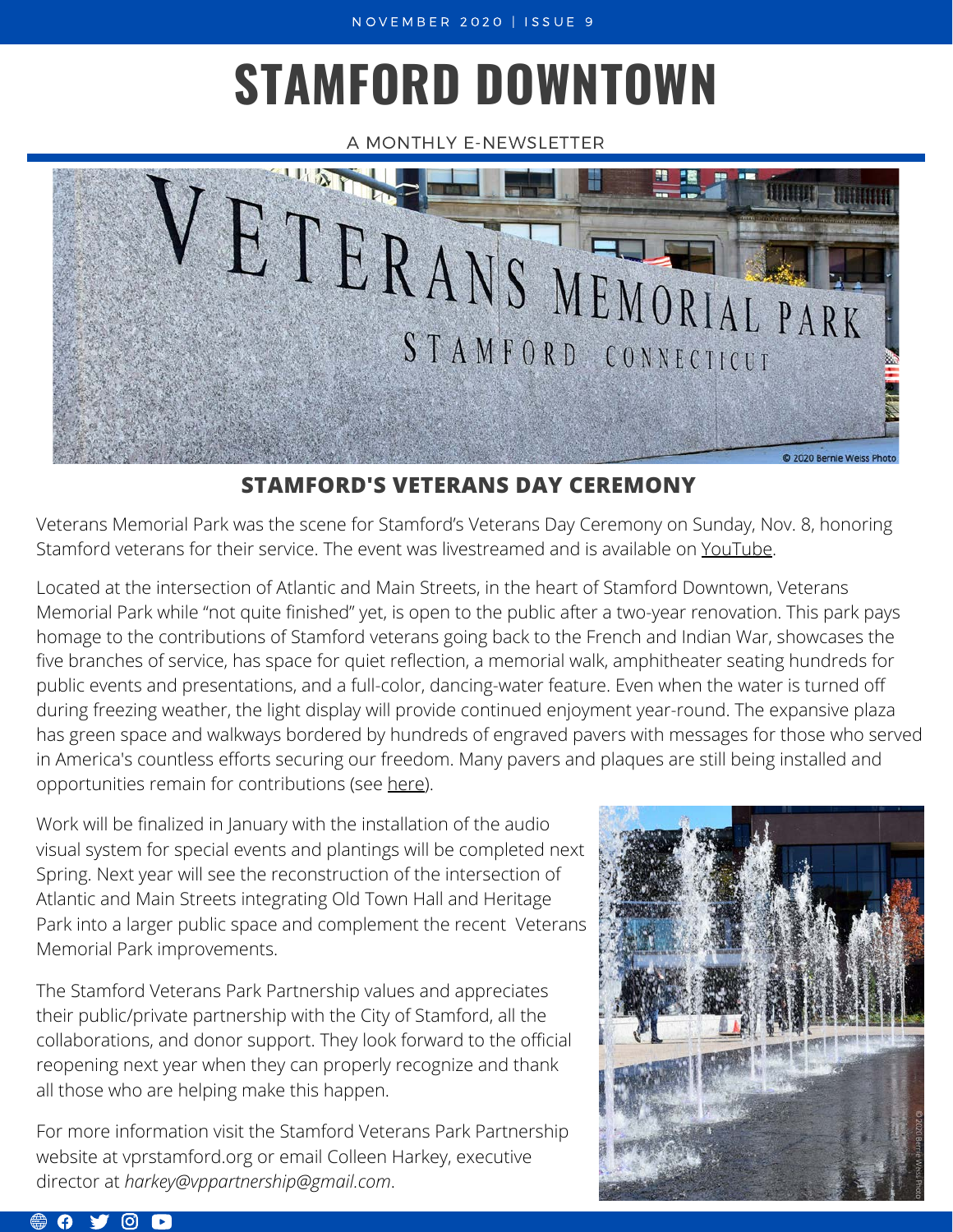# **STAMFORD DOWNTOWN**

A MONTHLY E-NEWSLETTER



# **STAMFORD'S VETERANS DAY CEREMONY**

Veterans Memorial Park was the scene for Stamford's Veterans Day Ceremony on Sunday, Nov. 8, honoring Stamford veterans for their service. The event was livestreamed and is available on [YouTube.](https://www.youtube.com/c/kdcinusa)

Located at the intersection of Atlantic and Main Streets, in the heart of Stamford Downtown, Veterans Memorial Park while "not quite finished" yet, is open to the public after a two-year renovation. This park pays homage to the contributions of Stamford veterans going back to the French and Indian War, showcases the five branches of service, has space for quiet reflection, a memorial walk, amphitheater seating hundreds for public events and presentations, and a full-color, dancing-water feature. Even when the water is turned off during freezing weather, the light display will provide continued enjoyment year-round. The expansive plaza has green space and walkways bordered by hundreds of engraved pavers with messages for those who served in America's countless efforts securing our freedom. Many pavers and plaques are still being installed and opportunities remain for contributions (see [here\)](https://vprstamford.org/donate-naming-opportunities/).

Work will be finalized in January with the installation of the audio visual system for special events and plantings will be completed next Spring. Next year will see the reconstruction of the intersection of Atlantic and Main Streets integrating Old Town Hall and Heritage Park into a larger public space and complement the recent Veterans Memorial Park improvements.

The Stamford Veterans Park Partnership values and appreciates their public/private partnership with the City of Stamford, all the collaborations, and donor support. They look forward to the official reopening next year when they can properly recognize and thank all those who are helping make this happen.

For more information visit the Stamford Veterans Park Partnership website at [vprstamford.org](http://vprstamford.org/) or email Colleen Harkey, executive director at *harkey@vppartnership@gmail.com*.

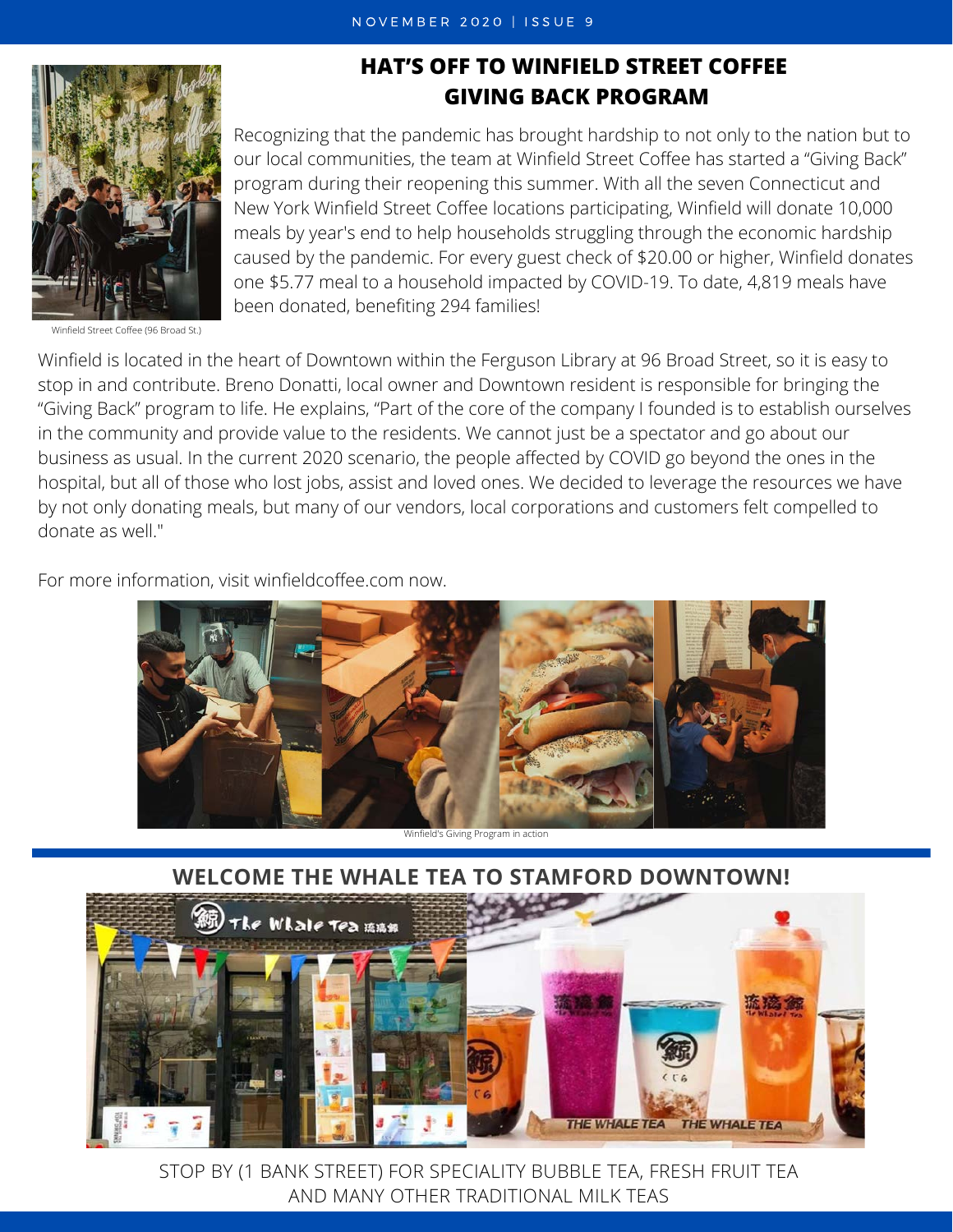

Winfield Street Coffee (96 Broad St.)

## **HAT'S OFF TO WINFIELD STREET COFFEE GIVING BACK PROGRAM**

Recognizing that the pandemic has brought hardship to not only to the nation but to our local communities, the team at Winfield Street Coffee has started a "Giving Back" program during their reopening this summer. With all the seven Connecticut and New York Winfield Street Coffee locations participating, Winfield will donate 10,000 meals by year's end to help households struggling through the economic hardship caused by the pandemic. For every guest check of \$20.00 or higher, Winfield donates one \$5.77 meal to a household impacted by COVID-19. To date, 4,819 meals have been donated, benefiting 294 families!

Winfield is located in the heart of Downtown within the Ferguson Library at 96 Broad Street, so it is easy to stop in and contribute. Breno Donatti, local owner and Downtown resident is responsible for bringing the "Giving Back" program to life. He explains, "Part of the core of the company I founded is to establish ourselves in the community and provide value to the residents. We cannot just be a spectator and go about our business as usual. In the current 2020 scenario, the people affected by COVID go beyond the ones in the hospital, but all of those who lost jobs, assist and loved ones. We decided to leverage the resources we have by not only donating meals, but many of our vendors, local corporations and customers felt compelled to donate as well."

For more information, visit [winfieldcoffee.com](http://www.winfieldcoffee.com/) now.



## **WELCOME THE [WHALE TEA](https://www.instagram.com/thewhaleteastamford/) TO STAMFORD DOWNTOWN!**



STOP BY (1 BANK STREET) FOR SPECIALITY BUBBLE TEA, FRESH FRUIT TEA AND MANY OTHER TRADITIONAL MILK TEAS